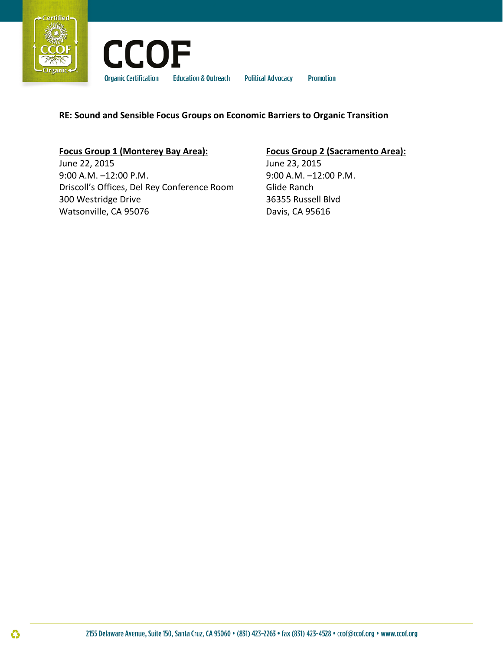



**Political Advocacy Promotion** 

# **RE: Sound and Sensible Focus Groups on Economic Barriers to Organic Transition**

# **Focus Group 1 (Monterey Bay Area):**

June 22, 2015 9:00 A.M. –12:00 P.M. Driscoll's Offices, Del Rey Conference Room 300 Westridge Drive Watsonville, CA 95076

# **Focus Group 2 (Sacramento Area):**

June 23, 2015 9:00 A.M. –12:00 P.M. Glide Ranch 36355 Russell Blvd Davis, CA 95616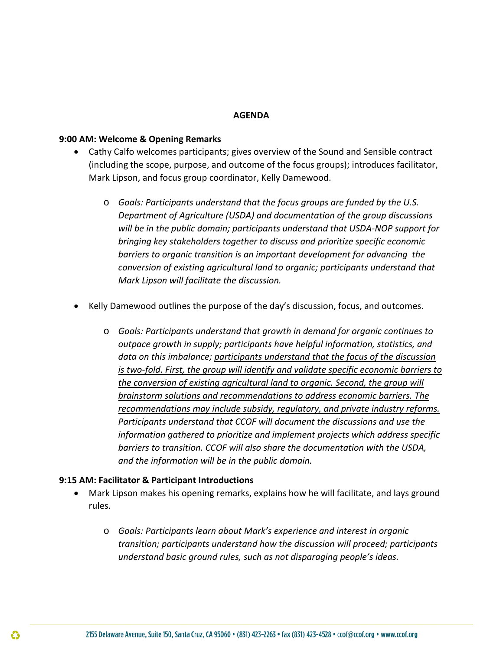### **AGENDA**

### **9:00 AM: Welcome & Opening Remarks**

- Cathy Calfo welcomes participants; gives overview of the Sound and Sensible contract (including the scope, purpose, and outcome of the focus groups); introduces facilitator, Mark Lipson, and focus group coordinator, Kelly Damewood.
	- o *Goals: Participants understand that the focus groups are funded by the U.S. Department of Agriculture (USDA) and documentation of the group discussions will be in the public domain; participants understand that USDA-NOP support for bringing key stakeholders together to discuss and prioritize specific economic barriers to organic transition is an important development for advancing the conversion of existing agricultural land to organic; participants understand that Mark Lipson will facilitate the discussion.*
- Kelly Damewood outlines the purpose of the day's discussion, focus, and outcomes.
	- o *Goals: Participants understand that growth in demand for organic continues to outpace growth in supply; participants have helpful information, statistics, and data on this imbalance; participants understand that the focus of the discussion is two-fold. First, the group will identify and validate specific economic barriers to the conversion of existing agricultural land to organic. Second, the group will brainstorm solutions and recommendations to address economic barriers. The recommendations may include subsidy, regulatory, and private industry reforms. Participants understand that CCOF will document the discussions and use the information gathered to prioritize and implement projects which address specific barriers to transition. CCOF will also share the documentation with the USDA, and the information will be in the public domain.*

## **9:15 AM: Facilitator & Participant Introductions**

- Mark Lipson makes his opening remarks, explains how he will facilitate, and lays ground rules.
	- o *Goals: Participants learn about Mark's experience and interest in organic transition; participants understand how the discussion will proceed; participants understand basic ground rules, such as not disparaging people's ideas.*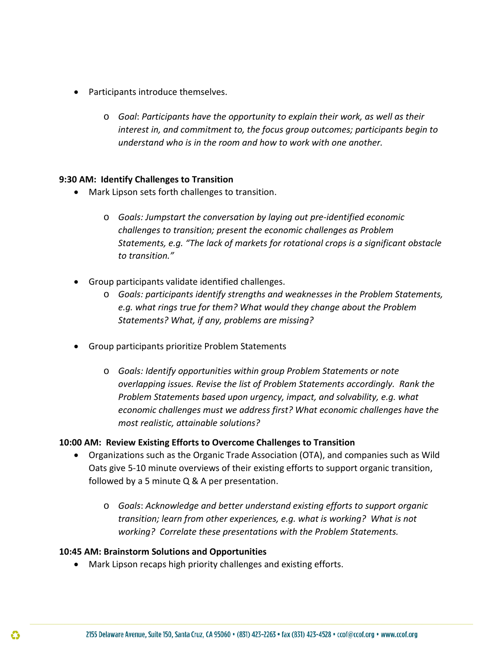- Participants introduce themselves.
	- o *Goal*: *Participants have the opportunity to explain their work, as well as their interest in, and commitment to, the focus group outcomes; participants begin to understand who is in the room and how to work with one another.*

## **9:30 AM: Identify Challenges to Transition**

- Mark Lipson sets forth challenges to transition.
	- o *Goals: Jumpstart the conversation by laying out pre-identified economic challenges to transition; present the economic challenges as Problem Statements, e.g. "The lack of markets for rotational crops is a significant obstacle to transition."*
- Group participants validate identified challenges.
	- o *Goals: participants identify strengths and weaknesses in the Problem Statements, e.g. what rings true for them? What would they change about the Problem Statements? What, if any, problems are missing?*
- Group participants prioritize Problem Statements
	- o *Goals: Identify opportunities within group Problem Statements or note overlapping issues. Revise the list of Problem Statements accordingly. Rank the Problem Statements based upon urgency, impact, and solvability, e.g. what economic challenges must we address first? What economic challenges have the most realistic, attainable solutions?*

### **10:00 AM: Review Existing Efforts to Overcome Challenges to Transition**

- Organizations such as the Organic Trade Association (OTA), and companies such as Wild Oats give 5-10 minute overviews of their existing efforts to support organic transition, followed by a 5 minute Q & A per presentation.
	- o *Goals*: *Acknowledge and better understand existing efforts to support organic transition; learn from other experiences, e.g. what is working? What is not working? Correlate these presentations with the Problem Statements.*

### **10:45 AM: Brainstorm Solutions and Opportunities**

• Mark Lipson recaps high priority challenges and existing efforts.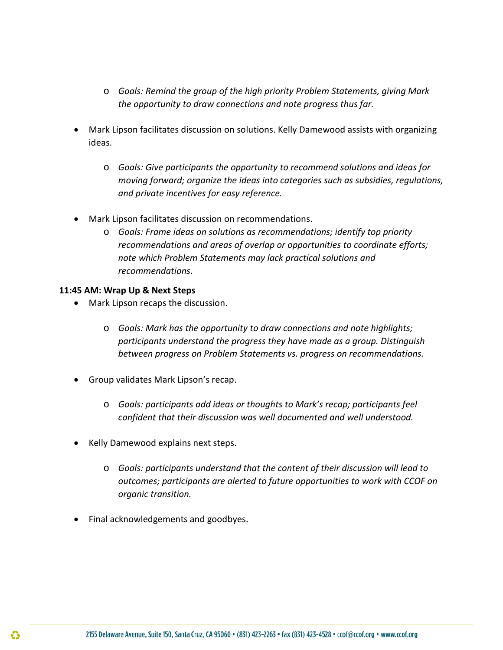- o *Goals: Remind the group of the high priority Problem Statements, giving Mark the opportunity to draw connections and note progress thus far.*
- Mark Lipson facilitates discussion on solutions. Kelly Damewood assists with organizing ideas.
	- o *Goals: Give participants the opportunity to recommend solutions and ideas for moving forward; organize the ideas into categories such as subsidies, regulations, and private incentives for easy reference.*
- Mark Lipson facilitates discussion on recommendations.
	- o *Goals: Frame ideas on solutions as recommendations; identify top priority recommendations and areas of overlap or opportunities to coordinate efforts; note which Problem Statements may lack practical solutions and recommendations.*

# **11:45 AM: Wrap Up & Next Steps**

- Mark Lipson recaps the discussion.
	- o *Goals: Mark has the opportunity to draw connections and note highlights; participants understand the progress they have made as a group. Distinguish between progress on Problem Statements vs. progress on recommendations.*
- Group validates Mark Lipson's recap.
	- o *Goals: participants add ideas or thoughts to Mark's recap; participants feel confident that their discussion was well documented and well understood.*
- Kelly Damewood explains next steps.
	- o *Goals: participants understand that the content of their discussion will lead to outcomes; participants are alerted to future opportunities to work with CCOF on organic transition.*
- Final acknowledgements and goodbyes.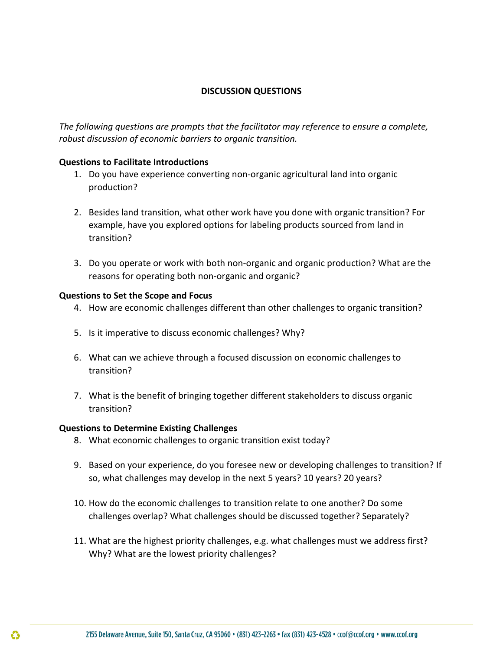# **DISCUSSION QUESTIONS**

*The following questions are prompts that the facilitator may reference to ensure a complete, robust discussion of economic barriers to organic transition.* 

### **Questions to Facilitate Introductions**

- 1. Do you have experience converting non-organic agricultural land into organic production?
- 2. Besides land transition, what other work have you done with organic transition? For example, have you explored options for labeling products sourced from land in transition?
- 3. Do you operate or work with both non-organic and organic production? What are the reasons for operating both non-organic and organic?

## **Questions to Set the Scope and Focus**

- 4. How are economic challenges different than other challenges to organic transition?
- 5. Is it imperative to discuss economic challenges? Why?
- 6. What can we achieve through a focused discussion on economic challenges to transition?
- 7. What is the benefit of bringing together different stakeholders to discuss organic transition?

## **Questions to Determine Existing Challenges**

- 8. What economic challenges to organic transition exist today?
- 9. Based on your experience, do you foresee new or developing challenges to transition? If so, what challenges may develop in the next 5 years? 10 years? 20 years?
- 10. How do the economic challenges to transition relate to one another? Do some challenges overlap? What challenges should be discussed together? Separately?
- 11. What are the highest priority challenges, e.g. what challenges must we address first? Why? What are the lowest priority challenges?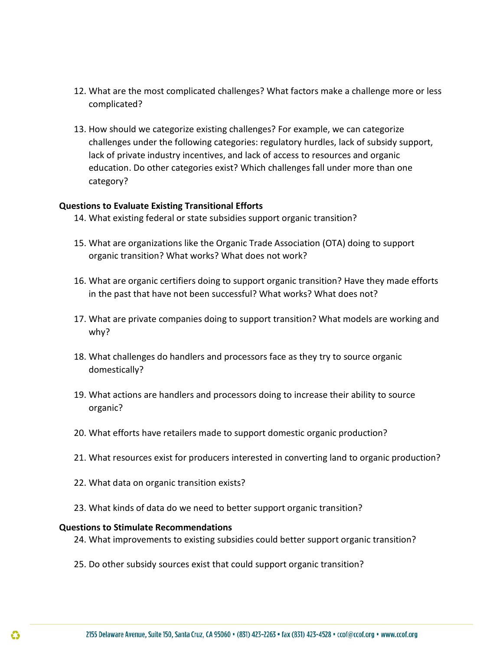- 12. What are the most complicated challenges? What factors make a challenge more or less complicated?
- 13. How should we categorize existing challenges? For example, we can categorize challenges under the following categories: regulatory hurdles, lack of subsidy support, lack of private industry incentives, and lack of access to resources and organic education. Do other categories exist? Which challenges fall under more than one category?

### **Questions to Evaluate Existing Transitional Efforts**

- 14. What existing federal or state subsidies support organic transition?
- 15. What are organizations like the Organic Trade Association (OTA) doing to support organic transition? What works? What does not work?
- 16. What are organic certifiers doing to support organic transition? Have they made efforts in the past that have not been successful? What works? What does not?
- 17. What are private companies doing to support transition? What models are working and why?
- 18. What challenges do handlers and processors face as they try to source organic domestically?
- 19. What actions are handlers and processors doing to increase their ability to source organic?
- 20. What efforts have retailers made to support domestic organic production?
- 21. What resources exist for producers interested in converting land to organic production?
- 22. What data on organic transition exists?
- 23. What kinds of data do we need to better support organic transition?

### **Questions to Stimulate Recommendations**

- 24. What improvements to existing subsidies could better support organic transition?
- 25. Do other subsidy sources exist that could support organic transition?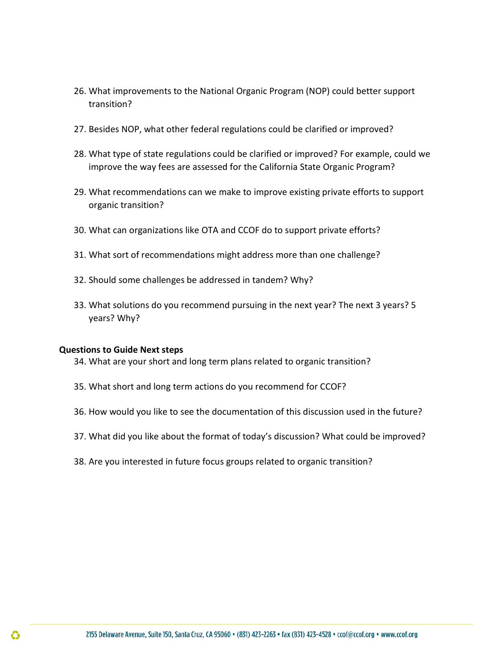- 26. What improvements to the National Organic Program (NOP) could better support transition?
- 27. Besides NOP, what other federal regulations could be clarified or improved?
- 28. What type of state regulations could be clarified or improved? For example, could we improve the way fees are assessed for the California State Organic Program?
- 29. What recommendations can we make to improve existing private efforts to support organic transition?
- 30. What can organizations like OTA and CCOF do to support private efforts?
- 31. What sort of recommendations might address more than one challenge?
- 32. Should some challenges be addressed in tandem? Why?
- 33. What solutions do you recommend pursuing in the next year? The next 3 years? 5 years? Why?

### **Questions to Guide Next steps**

- 34. What are your short and long term plans related to organic transition?
- 35. What short and long term actions do you recommend for CCOF?
- 36. How would you like to see the documentation of this discussion used in the future?
- 37. What did you like about the format of today's discussion? What could be improved?
- 38. Are you interested in future focus groups related to organic transition?